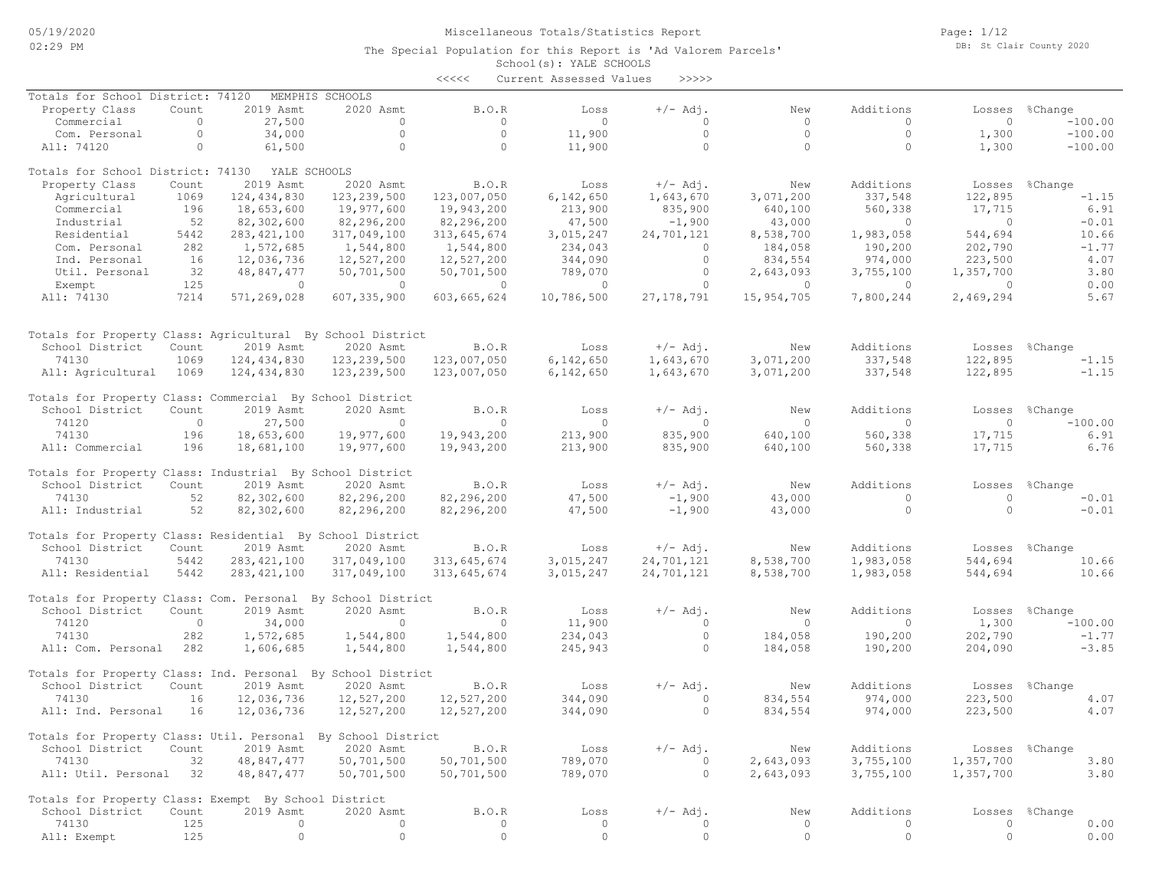Page: 1/12 DB: St Clair County 2020

|                                                              |                  |               |                 | $<<<<<$          | Current Assessed Values | >>>>>        |                |                      |                |                |
|--------------------------------------------------------------|------------------|---------------|-----------------|------------------|-------------------------|--------------|----------------|----------------------|----------------|----------------|
| Totals for School District: 74120                            |                  |               | MEMPHIS SCHOOLS |                  |                         |              |                |                      |                |                |
| Property Class                                               | Count            | 2019 Asmt     | 2020 Asmt       | B.O.R            | Loss                    | $+/-$ Adj.   | New            | Additions            | Losses         | %Change        |
| Commercial                                                   | $\circ$          | 27,500        | $\circ$         | $\circ$          | $\Omega$                | $\circ$      | $\circ$        | $\circ$              | $\circ$        | $-100.00$      |
| Com. Personal                                                | $\circ$          | 34,000        | $\circ$         | $\circ$          | 11,900                  | $\circ$      | $\circ$        | $\circ$              | 1,300          | $-100.00$      |
| All: 74120                                                   | $\circ$          | 61,500        | $\circ$         | $\circ$          | 11,900                  | $\circ$      | $\circ$        | $\circ$              | 1,300          | $-100.00$      |
|                                                              |                  |               |                 |                  |                         |              |                |                      |                |                |
| Totals for School District: 74130                            |                  | YALE SCHOOLS  |                 |                  |                         |              |                |                      |                |                |
| Property Class                                               | Count            | 2019 Asmt     | 2020 Asmt       | B.O.R            | Loss                    | $+/-$ Adj.   | New            | Additions            | Losses         | %Change        |
| Agricultural                                                 | 1069             | 124, 434, 830 | 123, 239, 500   | 123,007,050      | 6,142,650               | 1,643,670    | 3,071,200      | 337,548              | 122,895        | $-1.15$        |
| Commercial                                                   | 196              | 18,653,600    | 19,977,600      | 19,943,200       | 213,900                 | 835,900      | 640,100        | 560,338              | 17,715         | 6.91           |
| Industrial                                                   | 52               | 82,302,600    | 82,296,200      | 82,296,200       | 47,500                  | $-1,900$     | 43,000         | $\circ$              | $\overline{0}$ | $-0.01$        |
| Residential                                                  | 5442             | 283, 421, 100 | 317,049,100     | 313,645,674      | 3,015,247               | 24,701,121   | 8,538,700      | 1,983,058            | 544,694        | 10.66          |
| Com. Personal                                                | 282              | 1,572,685     | 1,544,800       | 1,544,800        | 234,043                 | $\circ$      | 184,058        | 190,200              | 202,790        | $-1.77$        |
| Ind. Personal                                                | 16               | 12,036,736    | 12,527,200      | 12,527,200       | 344,090                 | $\circ$      | 834,554        | 974,000              | 223,500        | 4.07           |
| Util. Personal                                               | 32               | 48,847,477    | 50,701,500      | 50,701,500       | 789,070                 | $\circ$      | 2,643,093      | 3,755,100            | 1,357,700      | 3.80           |
| Exempt                                                       | 125              | $\circ$       | $\overline{0}$  | $\overline{0}$   | $\circ$                 | $\circ$      | $\circ$        | $\circ$              | $\Omega$       | 0.00           |
| All: 74130                                                   | 7214             | 571,269,028   | 607, 335, 900   | 603,665,624      | 10,786,500              | 27, 178, 791 | 15,954,705     | 7,800,244            | 2,469,294      | 5.67           |
|                                                              |                  |               |                 |                  |                         |              |                |                      |                |                |
| Totals for Property Class: Agricultural By School District   |                  |               |                 |                  |                         |              |                |                      |                |                |
| School District                                              | Count            | 2019 Asmt     | 2020 Asmt       | <b>B.O.R</b>     | Loss                    | $+/-$ Adj.   | New            | Additions            | Losses         | %Change        |
| 74130                                                        | 1069             | 124, 434, 830 | 123, 239, 500   | 123,007,050      | 6,142,650               | 1,643,670    | 3,071,200      | 337,548              | 122,895        | $-1.15$        |
| All: Agricultural                                            | 1069             | 124,434,830   | 123,239,500     | 123,007,050      | 6,142,650               | 1,643,670    | 3,071,200      | 337,548              | 122,895        | $-1.15$        |
| Totals for Property Class: Commercial By School District     |                  |               |                 |                  |                         |              |                |                      |                |                |
| School District                                              | Count            | 2019 Asmt     | 2020 Asmt       | <b>B.O.R</b>     | Loss                    | $+/-$ Adj.   | New            | Additions            | Losses         | %Change        |
| 74120                                                        | $\circ$          | 27,500        | $\circ$         | $\circ$          | $\circ$                 | $\circ$      | $\circ$        | $\mathbf{0}$         | $\circ$        | $-100.00$      |
| 74130                                                        | 196              | 18,653,600    | 19,977,600      | 19,943,200       | 213,900                 | 835,900      | 640,100        | 560,338              | 17,715         | 6.91           |
| All: Commercial                                              | 196              | 18,681,100    | 19,977,600      | 19,943,200       | 213,900                 | 835,900      | 640,100        | 560,338              | 17,715         | 6.76           |
| Totals for Property Class: Industrial By School District     |                  |               |                 |                  |                         |              |                |                      |                |                |
| School District                                              | Count            | 2019 Asmt     | 2020 Asmt       | B.O.R            | Loss                    | $+/-$ Adj.   | New            | Additions            | Losses         | %Change        |
| 74130                                                        | 52               | 82,302,600    | 82,296,200      | 82,296,200       | 47,500                  | $-1,900$     | 43,000         | $\circ$              | $\circ$        | $-0.01$        |
| All: Industrial                                              | 52               | 82,302,600    | 82,296,200      | 82,296,200       | 47,500                  | $-1,900$     | 43,000         | $\circ$              | $\Omega$       | $-0.01$        |
|                                                              |                  |               |                 |                  |                         |              |                |                      |                |                |
| Totals for Property Class: Residential By School District    |                  |               |                 |                  |                         |              |                |                      |                |                |
| School District                                              | Count            | 2019 Asmt     | 2020 Asmt       | B.O.R            | Loss                    | $+/-$ Adj.   | New            | Additions            | Losses         | %Change        |
| 74130                                                        | 5442             | 283, 421, 100 | 317,049,100     | 313,645,674      | 3,015,247               | 24,701,121   | 8,538,700      | 1,983,058            | 544,694        | 10.66          |
| All: Residential                                             | 5442             | 283, 421, 100 | 317,049,100     | 313,645,674      | 3,015,247               | 24,701,121   | 8,538,700      | 1,983,058            | 544,694        | 10.66          |
|                                                              |                  |               |                 |                  |                         |              |                |                      |                |                |
| Totals for Property Class: Com. Personal By School District  |                  |               |                 |                  |                         |              |                |                      |                |                |
| School District                                              | Count<br>$\circ$ | 2019 Asmt     | 2020 Asmt       | B.O.R<br>$\circ$ | Loss                    | $+/-$ Adj.   | New<br>$\circ$ | Additions<br>$\circ$ | Losses         | %Change        |
| 74120                                                        |                  | 34,000        | $\circ$         |                  | 11,900                  | $\circ$      |                |                      | 1,300          | $-100.00$      |
| 74130                                                        | 282              | 1,572,685     | 1,544,800       | 1,544,800        | 234,043                 | $\circ$      | 184,058        | 190,200              | 202,790        | $-1.77$        |
| All: Com. Personal                                           | 282              | 1,606,685     | 1,544,800       | 1,544,800        | 245,943                 | $\circ$      | 184,058        | 190,200              | 204,090        | $-3.85$        |
| Totals for Property Class: Ind. Personal By School District  |                  |               |                 |                  |                         |              |                |                      |                |                |
| School District                                              | Count            | 2019 Asmt     | 2020 Asmt       | B.O.R            | Loss                    | $+/-$ Adj.   | New            | Additions            | Losses         | %Change        |
| 74130                                                        | 16               | 12,036,736    | 12,527,200      | 12,527,200       | 344,090                 | $\circ$      | 834,554        | 974,000              | 223,500        | 4.07           |
| All: Ind. Personal                                           | 16               | 12,036,736    | 12,527,200      | 12,527,200       | 344,090                 | $\circ$      | 834,554        | 974,000              | 223,500        | 4.07           |
| Totals for Property Class: Util. Personal By School District |                  |               |                 |                  |                         |              |                |                      |                |                |
| School District                                              | Count            | 2019 Asmt     | 2020 Asmt       | B.O.R            | Loss                    | $+/-$ Adj.   | New            | Additions            |                | Losses %Change |
| 74130                                                        | 32               | 48,847,477    | 50,701,500      | 50,701,500       | 789,070                 | 0            | 2,643,093      | 3,755,100            | 1,357,700      | 3.80           |
| All: Util. Personal 32                                       |                  | 48,847,477    | 50,701,500      | 50,701,500       | 789,070                 | $\circ$      | 2,643,093      | 3,755,100            | 1,357,700      | 3.80           |
| Totals for Property Class: Exempt By School District         |                  |               |                 |                  |                         |              |                |                      |                |                |
| School District                                              | Count            | 2019 Asmt     | 2020 Asmt       | B.O.R            | Loss                    | $+/-$ Adj.   | New            | Additions            |                | Losses %Change |
| 74130                                                        | 125              | $\circ$       | $\circ$         | $\circ$          | 0                       | $\circ$      | $\circ$        | $\circ$              | $\circ$        | 0.00           |
| All: Exempt                                                  | 125              | $\circ$       | $\circ$         | $\circ$          | $\circ$                 | $\circ$      | $\circ$        | $\circ$              | $\circ$        | 0.00           |
|                                                              |                  |               |                 |                  |                         |              |                |                      |                |                |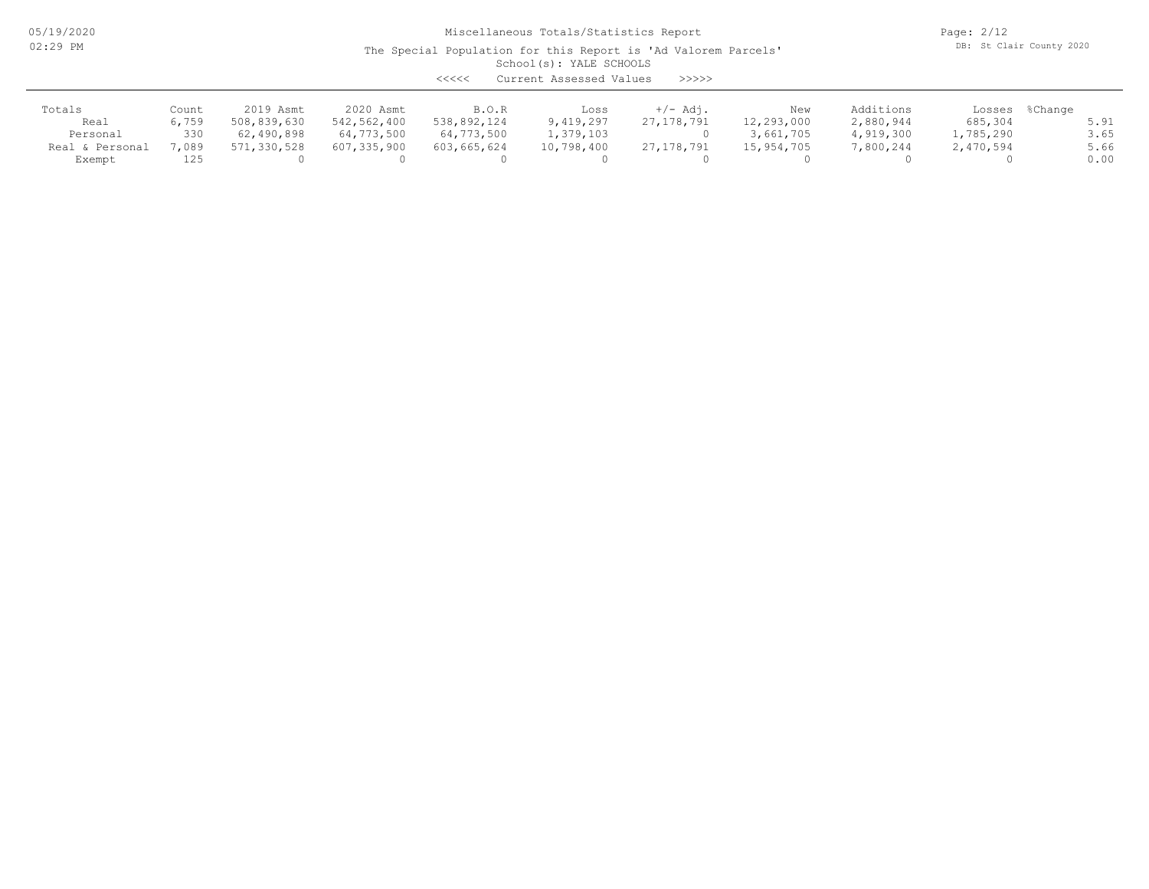05/19/2020 02:29 PM

Miscellaneous Totals/Statistics Report

Page: 2/12 DB: St Clair County 2020

| Current Assessed Values<br><<<<<br>>>>>> |       |             |             |             |            |              |            |           |           |                |  |
|------------------------------------------|-------|-------------|-------------|-------------|------------|--------------|------------|-----------|-----------|----------------|--|
| Totals                                   | Count | 2019 Asmt   | 2020 Asmt   | B.O.R       | Loss       | $+/-$ Adj.   | New        | Additions |           | Losses %Change |  |
| Real                                     | 6,759 | 508,839,630 | 542,562,400 | 538,892,124 | 9,419,297  | 27, 178, 791 | 12,293,000 | 2,880,944 | 685,304   | 5.91           |  |
| Personal                                 | 330   | 62,490,898  | 64,773,500  | 64,773,500  | 1,379,103  |              | 3,661,705  | 4,919,300 | 1,785,290 | 3.65           |  |
| Real & Personal                          | ,089  | 571,330,528 | 607,335,900 | 603,665,624 | 10,798,400 | 27,178,791   | 15,954,705 | 7,800,244 | 2,470,594 | 5.66           |  |
| Exempt                                   | 125   |             |             |             |            |              |            |           |           | 0.00           |  |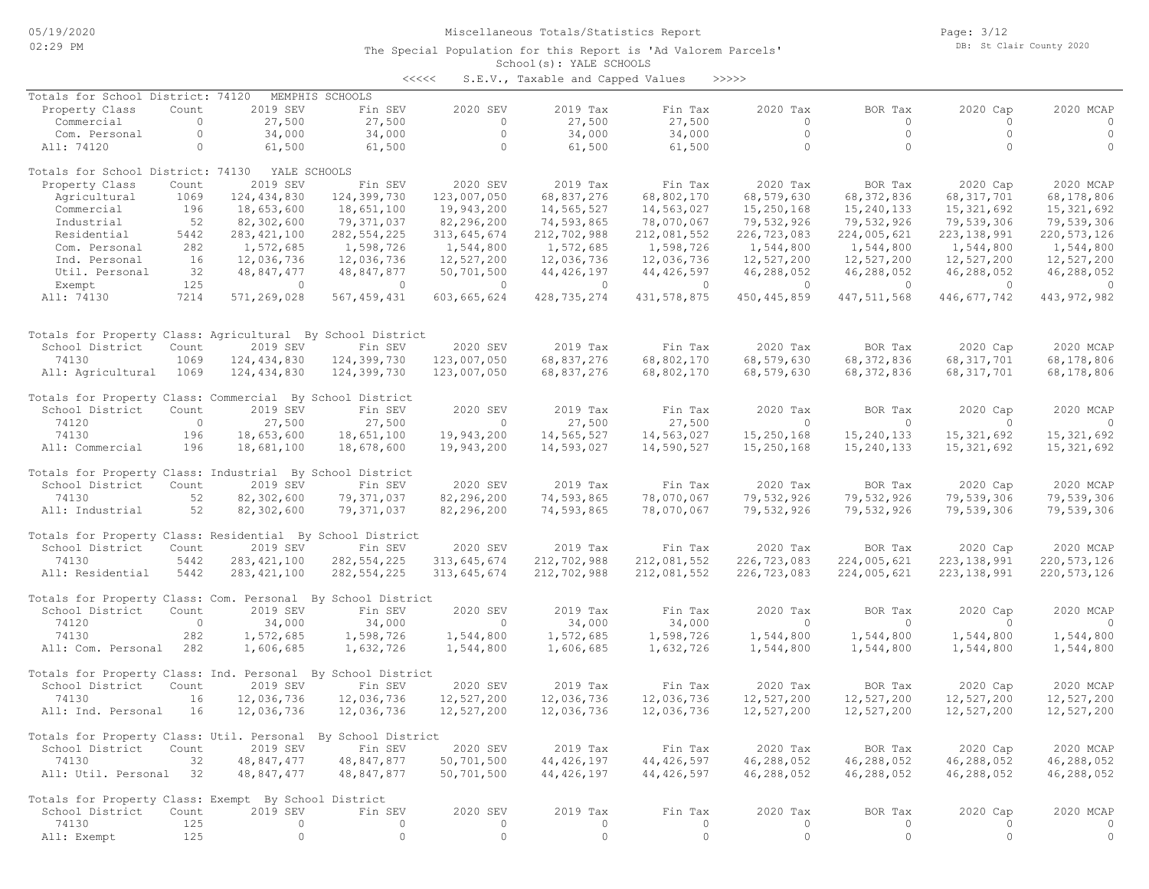Page: 3/12 DB: St Clair County 2020

### School(s): YALE SCHOOLS The Special Population for this Report is 'Ad Valorem Parcels'

<<<<< S.E.V., Taxable and Capped Values >>>>>

| Totals for School District: 74120                            |         |               | MEMPHIS SCHOOLS |             |               |              |               |               |                |               |
|--------------------------------------------------------------|---------|---------------|-----------------|-------------|---------------|--------------|---------------|---------------|----------------|---------------|
| Property Class                                               | Count   | 2019 SEV      | Fin SEV         | 2020 SEV    | 2019 Tax      | Fin Tax      | 2020 Tax      | BOR Tax       | 2020 Cap       | 2020 MCAP     |
| Commercial                                                   | $\circ$ | 27,500        | 27,500          | $\circ$     | 27,500        | 27,500       | $\circ$       | $\circ$       | $\Omega$       | $\circ$       |
| Com. Personal                                                | $\circ$ | 34,000        | 34,000          | $\circ$     | 34,000        | 34,000       | $\circ$       | $\circ$       | $\circ$        | $\circ$       |
| All: 74120                                                   | $\circ$ | 61,500        | 61,500          | $\circ$     | 61,500        | 61,500       | $\circ$       | $\circ$       | $\Omega$       | $\circ$       |
| Totals for School District: 74130                            |         | YALE SCHOOLS  |                 |             |               |              |               |               |                |               |
| Property Class                                               | Count   | 2019 SEV      | Fin SEV         | 2020 SEV    | 2019 Tax      | Fin Tax      | 2020 Tax      | BOR Tax       | 2020 Cap       | 2020 MCAP     |
| Agricultural                                                 | 1069    | 124, 434, 830 | 124,399,730     | 123,007,050 | 68,837,276    | 68,802,170   | 68,579,630    | 68, 372, 836  | 68, 317, 701   | 68,178,806    |
| Commercial                                                   | 196     | 18,653,600    | 18,651,100      | 19,943,200  | 14,565,527    | 14,563,027   | 15,250,168    | 15,240,133    | 15, 321, 692   | 15, 321, 692  |
| Industrial                                                   | 52      | 82,302,600    | 79,371,037      | 82,296,200  | 74,593,865    | 78,070,067   | 79,532,926    | 79,532,926    | 79,539,306     | 79,539,306    |
| Residential                                                  | 5442    |               | 282, 554, 225   | 313,645,674 | 212,702,988   | 212,081,552  | 226,723,083   | 224,005,621   | 223, 138, 991  | 220, 573, 126 |
|                                                              |         | 283, 421, 100 |                 |             |               |              |               |               |                |               |
| Com. Personal                                                | 282     | 1,572,685     | 1,598,726       | 1,544,800   | 1,572,685     | 1,598,726    | 1,544,800     | 1,544,800     | 1,544,800      | 1,544,800     |
| Ind. Personal                                                | 16      | 12,036,736    | 12,036,736      | 12,527,200  | 12,036,736    | 12,036,736   | 12,527,200    | 12,527,200    | 12,527,200     | 12,527,200    |
| Util. Personal                                               | 32      | 48,847,477    | 48,847,877      | 50,701,500  | 44, 426, 197  | 44, 426, 597 | 46,288,052    | 46,288,052    | 46,288,052     | 46,288,052    |
| Exempt                                                       | 125     | $\circ$       | $\circ$         | $\circ$     | $\circ$       | $\circ$      | $\circ$       | $\circ$       | $\overline{0}$ | $\circ$       |
| All: 74130                                                   | 7214    | 571,269,028   | 567, 459, 431   | 603,665,624 | 428, 735, 274 | 431,578,875  | 450, 445, 859 | 447, 511, 568 | 446, 677, 742  | 443, 972, 982 |
|                                                              |         |               |                 |             |               |              |               |               |                |               |
| Totals for Property Class: Agricultural By School District   |         |               |                 |             |               |              |               |               |                |               |
| School District                                              | Count   | 2019 SEV      | Fin SEV         | 2020 SEV    | 2019 Tax      | Fin Tax      | 2020 Tax      | BOR Tax       | 2020 Cap       | 2020 MCAP     |
| 74130                                                        | 1069    | 124,434,830   | 124,399,730     | 123,007,050 | 68,837,276    | 68,802,170   | 68,579,630    | 68, 372, 836  | 68, 317, 701   | 68,178,806    |
| All: Agricultural                                            | 1069    | 124, 434, 830 | 124,399,730     | 123,007,050 | 68,837,276    | 68,802,170   | 68,579,630    | 68, 372, 836  | 68, 317, 701   | 68,178,806    |
| Totals for Property Class: Commercial By School District     |         |               |                 |             |               |              |               |               |                |               |
| School District                                              | Count   | 2019 SEV      | Fin SEV         | 2020 SEV    | 2019 Tax      | Fin Tax      | 2020 Tax      | BOR Tax       | 2020 Cap       | 2020 MCAP     |
| 74120                                                        | $\circ$ | 27,500        | 27,500          | $\circ$     | 27,500        | 27,500       | $\circ$       | $\Omega$      | $\Omega$       | $\Omega$      |
| 74130                                                        | 196     | 18,653,600    | 18,651,100      | 19,943,200  | 14,565,527    | 14,563,027   | 15,250,168    | 15,240,133    | 15, 321, 692   | 15, 321, 692  |
| All: Commercial                                              | 196     | 18,681,100    | 18,678,600      | 19,943,200  | 14,593,027    | 14,590,527   | 15,250,168    | 15,240,133    | 15, 321, 692   | 15, 321, 692  |
| Totals for Property Class: Industrial By School District     |         |               |                 |             |               |              |               |               |                |               |
| School District                                              | Count   | 2019 SEV      | Fin SEV         | 2020 SEV    | 2019 Tax      | Fin Tax      | 2020 Tax      | BOR Tax       | 2020 Cap       | 2020 MCAP     |
| 74130                                                        | 52      | 82,302,600    | 79,371,037      | 82,296,200  | 74,593,865    | 78,070,067   | 79,532,926    | 79,532,926    | 79,539,306     | 79,539,306    |
| All: Industrial                                              | 52      | 82,302,600    | 79,371,037      | 82,296,200  | 74,593,865    | 78,070,067   | 79,532,926    | 79,532,926    | 79,539,306     | 79,539,306    |
|                                                              |         |               |                 |             |               |              |               |               |                |               |
| Totals for Property Class: Residential By School District    |         |               |                 |             |               |              |               |               |                |               |
| School District                                              | Count   | 2019 SEV      | Fin SEV         | 2020 SEV    | 2019 Tax      | Fin Tax      | 2020 Tax      | BOR Tax       | 2020 Cap       | 2020 MCAP     |
| 74130                                                        | 5442    | 283, 421, 100 | 282, 554, 225   | 313,645,674 | 212,702,988   | 212,081,552  | 226,723,083   | 224,005,621   | 223, 138, 991  | 220, 573, 126 |
| All: Residential                                             | 5442    | 283, 421, 100 | 282, 554, 225   | 313,645,674 | 212,702,988   | 212,081,552  | 226,723,083   | 224,005,621   | 223, 138, 991  | 220, 573, 126 |
| Totals for Property Class: Com. Personal By School District  |         |               |                 |             |               |              |               |               |                |               |
| School District                                              | Count   | 2019 SEV      | Fin SEV         | 2020 SEV    | 2019 Tax      | Fin Tax      | 2020 Tax      | BOR Tax       | 2020 Cap       | 2020 MCAP     |
| 74120                                                        | $\circ$ | 34,000        | 34,000          | $\Omega$    | 34,000        | 34,000       | $\Omega$      | $\Omega$      | $\Omega$       | $\Omega$      |
| 74130                                                        | 282     | 1,572,685     | 1,598,726       | 1,544,800   | 1,572,685     | 1,598,726    | 1,544,800     | 1,544,800     | 1,544,800      | 1,544,800     |
| All: Com. Personal                                           | 282     | 1,606,685     | 1,632,726       | 1,544,800   | 1,606,685     | 1,632,726    | 1,544,800     | 1,544,800     | 1,544,800      | 1,544,800     |
| Totals for Property Class: Ind. Personal By School District  |         |               |                 |             |               |              |               |               |                |               |
| School District                                              | Count   | 2019 SEV      | Fin SEV         | 2020 SEV    | 2019 Tax      | Fin Tax      | 2020 Tax      | BOR Tax       | 2020 Cap       | 2020 MCAP     |
| 74130                                                        | 16      | 12,036,736    | 12,036,736      | 12,527,200  | 12,036,736    | 12,036,736   | 12,527,200    | 12,527,200    | 12,527,200     | 12,527,200    |
| All: Ind. Personal                                           | 16      | 12,036,736    | 12,036,736      | 12,527,200  | 12,036,736    | 12,036,736   | 12,527,200    | 12,527,200    | 12,527,200     | 12,527,200    |
| Totals for Property Class: Util. Personal By School District |         |               |                 |             |               |              |               |               |                |               |
| School District                                              | Count   | 2019 SEV      | Fin SEV         | 2020 SEV    | 2019 Tax      | Fin Tax      | 2020 Tax      | BOR Tax       | 2020 Cap       | 2020 MCAP     |
| 74130                                                        | 32      | 48,847,477    | 48,847,877      | 50,701,500  | 44, 426, 197  | 44, 426, 597 | 46,288,052    | 46,288,052    | 46,288,052     | 46,288,052    |
| All: Util. Personal                                          | 32      | 48,847,477    | 48,847,877      | 50,701,500  | 44, 426, 197  | 44, 426, 597 | 46,288,052    | 46,288,052    | 46,288,052     | 46,288,052    |
| Totals for Property Class: Exempt By School District         |         |               |                 |             |               |              |               |               |                |               |
| School District                                              | Count   | 2019 SEV      | Fin SEV         | 2020 SEV    | 2019 Tax      | Fin Tax      | 2020 Tax      | BOR Tax       | 2020 Cap       | 2020 MCAP     |
| 74130                                                        | 125     | $\Omega$      | $\circ$         | $\circ$     | $\mathbf{0}$  | $\circ$      | $\circ$       | $\Omega$      | $\Omega$       | $\circ$       |
|                                                              | 125     | $\mathbf{0}$  | $\circ$         | $\circ$     | $\circ$       | $\circ$      | $\circ$       | $\circ$       | $\mathbf{0}$   | $\circ$       |
| All: Exempt                                                  |         |               |                 |             |               |              |               |               |                |               |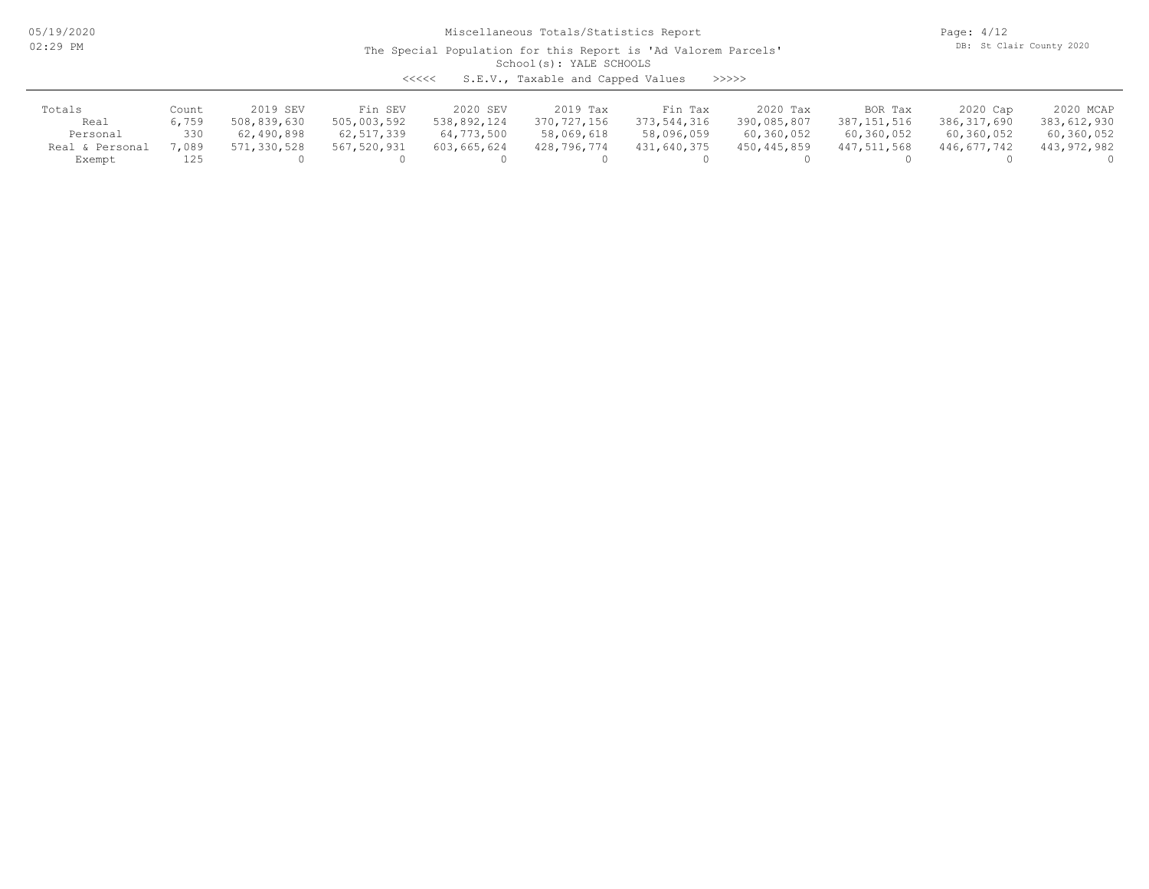05/19/2020 02:29 PM

Miscellaneous Totals/Statistics Report

Page: 4/12 DB: St Clair County 2020

### School(s): YALE SCHOOLS The Special Population for this Report is 'Ad Valorem Parcels'

<<<<< S.E.V., Taxable and Capped Values >>>>>

| Totals          | Count | 2019 SEV    | Fin SEV      | 2020 SEV    | 2019 Tax    | Fin Tax     | 2020 Tax      | BOR Tax     | 2020 Cap      | 2020 MCAP   |
|-----------------|-------|-------------|--------------|-------------|-------------|-------------|---------------|-------------|---------------|-------------|
| Real            | 6,759 | 508,839,630 | 505,003,592  | 538,892,124 | 370,727,156 | 373,544,316 | 390,085,807   | 387,151,516 | 386, 317, 690 | 383,612,930 |
| Personal        | 330   | 62,490,898  | 62, 517, 339 | 64,773,500  | 58,069,618  | 58,096,059  | 60,360,052    | 60,360,052  | 60,360,052    | 60,360,052  |
| Real & Personal | 7,089 | 571,330,528 | 567,520,931  | 603,665,624 | 428,796,774 | 431,640,375 | 450, 445, 859 | 447,511,568 | 446,677,742   | 443,972,982 |
| Exempt          |       |             |              |             |             |             |               |             |               |             |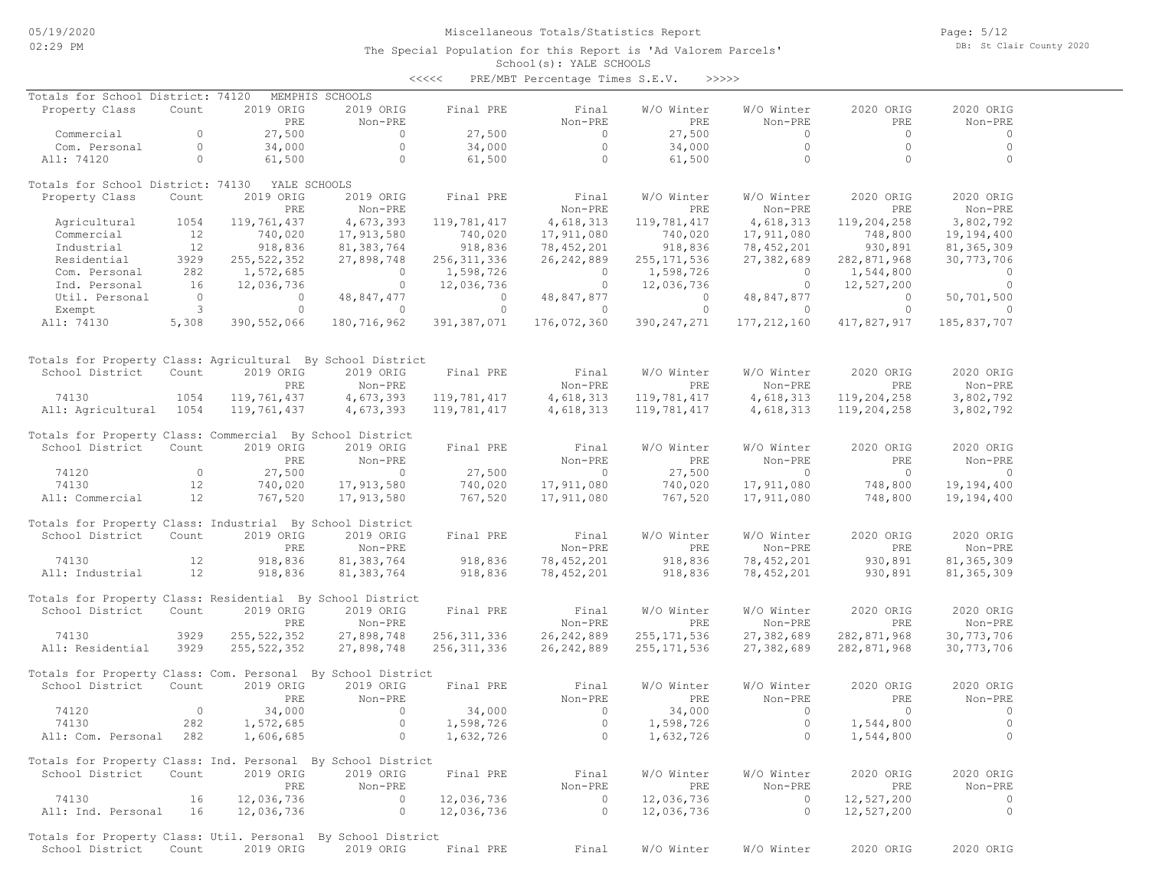### School(s): YALE SCHOOLS The Special Population for this Report is 'Ad Valorem Parcels'

|                                                             |                                  |               |                     | <<<<             | PRE/MBT Percentage Times S.E.V. | >>>>>          |                     |                              |                        |
|-------------------------------------------------------------|----------------------------------|---------------|---------------------|------------------|---------------------------------|----------------|---------------------|------------------------------|------------------------|
| Totals for School District: 74120                           |                                  |               | MEMPHIS SCHOOLS     |                  |                                 |                |                     |                              |                        |
| Property Class                                              | Count                            | 2019 ORIG     | 2019 ORIG           | Final PRE        | Final                           | W/O Winter     | W/O Winter          | 2020 ORIG                    | 2020 ORIG              |
|                                                             |                                  | PRE           | Non-PRE             |                  | Non-PRE                         | PRE            | Non-PRE             | PRE                          | Non-PRE                |
| Commercial                                                  | $\circ$<br>$\Omega$              | 27,500        | $\circ$<br>$\Omega$ | 27,500           | $\sim$ 0<br>$\bigcirc$          | 27,500         | $\circ$<br>$\Omega$ | $\bigcirc$<br>$\overline{0}$ | $\mathbf 0$            |
| Com. Personal<br>All: 74120                                 | $\Omega$                         | 34,000        | $\circ$             | 34,000<br>61,500 | $\bigcirc$                      | 34,000         | $\overline{0}$      | $\Omega$                     | $\mathbf 0$<br>$\circ$ |
|                                                             |                                  | 61,500        |                     |                  |                                 | 61,500         |                     |                              |                        |
| Totals for School District: 74130                           |                                  | YALE SCHOOLS  |                     |                  |                                 |                |                     |                              |                        |
| Property Class                                              | Count                            | 2019 ORIG     | 2019 ORIG           | Final PRE        | Final                           | W/O Winter     | W/O Winter          | 2020 ORIG                    | 2020 ORIG              |
|                                                             |                                  | <b>PRE</b>    | Non-PRE             |                  | Non-PRE                         | PRE            | Non-PRE             | PRE                          | Non-PRE                |
| Agricultural                                                | 1054                             | 119,761,437   | 4,673,393           | 119,781,417      | 4,618,313                       | 119,781,417    | 4,618,313           | 119,204,258                  | 3,802,792              |
| Commercial                                                  | 12                               | 740,020       | 17,913,580          | 740,020          | 17,911,080                      | 740,020        | 17,911,080          | 748,800                      | 19,194,400             |
| Industrial                                                  | 12                               | 918,836       | 81, 383, 764        | 918,836          | 78,452,201                      | 918,836        | 78,452,201          | 930,891                      | 81, 365, 309           |
| Residential                                                 | 3929                             | 255, 522, 352 | 27,898,748          | 256, 311, 336    | 26, 242, 889                    | 255, 171, 536  | 27,382,689          | 282,871,968                  | 30,773,706             |
| Com. Personal                                               | 282                              | 1,572,685     | $\overline{0}$      | 1,598,726        | $\overline{0}$                  | 1,598,726      | $\overline{0}$      | 1,544,800                    | $\circ$                |
| Ind. Personal                                               | 16                               | 12,036,736    | $\circ$             | 12,036,736       | $\overline{0}$                  | 12,036,736     | $\circ$             | 12,527,200                   | $\overline{0}$         |
| Util. Personal                                              | $\begin{matrix}0\\3\end{matrix}$ | $\circ$       | 48,847,477          | $\overline{0}$   | 48,847,877                      | $\overline{0}$ | 48,847,877          | $\overline{0}$               | 50,701,500             |
| Exempt                                                      |                                  | $\Omega$      | $\overline{0}$      | $\circ$          | $\bigcirc$                      | $\circ$        | $\overline{0}$      | $\Omega$                     |                        |
| All: 74130                                                  | 5,308                            | 390, 552, 066 | 180,716,962         | 391, 387, 071    | 176,072,360                     | 390, 247, 271  | 177, 212, 160       | 417,827,917                  | 185,837,707            |
| Totals for Property Class: Agricultural By School District  |                                  |               |                     |                  |                                 |                |                     |                              |                        |
| School District                                             | Count                            | 2019 ORIG     | 2019 ORIG           | Final PRE        | Final                           | W/O Winter     | W/O Winter          | 2020 ORIG                    | 2020 ORIG              |
|                                                             |                                  | PRE           | Non-PRE             |                  | Non-PRE                         | PRE            | Non-PRE             | PRE                          | Non-PRE                |
| 74130                                                       | 1054                             | 119,761,437   | 4,673,393           | 119,781,417      | 4,618,313                       | 119,781,417    | 4,618,313           | 119,204,258                  | 3,802,792              |
| All: Agricultural                                           | 1054                             | 119,761,437   | 4,673,393           | 119,781,417      | 4,618,313                       | 119,781,417    | 4,618,313           | 119,204,258                  | 3,802,792              |
| Totals for Property Class: Commercial By School District    |                                  |               |                     |                  |                                 |                |                     |                              |                        |
| School District                                             | Count                            | 2019 ORIG     | 2019 ORIG           | Final PRE        | Final                           | W/O Winter     | W/O Winter          | 2020 ORIG                    | 2020 ORIG              |
|                                                             |                                  | PRE           | Non-PRE             |                  | Non-PRE                         | PRE            | Non-PRE             | PRE                          | Non-PRE                |
| 74120                                                       | $\bigcirc$                       | 27,500        | $\overline{0}$      | 27,500           | $\bigcirc$                      | 27,500         | $\bigcirc$          | $\bigcirc$                   | $\mathbf 0$            |
| 74130                                                       | 12                               | 740,020       | 17,913,580          | 740,020          | 17,911,080                      | 740,020        | 17,911,080          | 748,800                      | 19,194,400             |
| All: Commercial                                             | 12                               | 767,520       | 17,913,580          | 767,520          | 17,911,080                      | 767,520        | 17,911,080          | 748,800                      | 19,194,400             |
| Totals for Property Class: Industrial By School District    |                                  |               |                     |                  |                                 |                |                     |                              |                        |
| School District                                             | Count                            | 2019 ORIG     | 2019 ORIG           | Final PRE        | Final                           | W/O Winter     | W/O Winter          | 2020 ORIG                    | 2020 ORIG              |
|                                                             |                                  | PRE           | Non-PRE             |                  | Non-PRE                         | PRE            | Non-PRE             | PRE                          | Non-PRE                |
| 74130                                                       | 12                               | 918,836       | 81,383,764          | 918,836          | 78,452,201                      | 918,836        | 78,452,201          | 930,891                      | 81, 365, 309           |
| All: Industrial                                             | 12                               | 918,836       | 81,383,764          | 918,836          | 78,452,201                      | 918,836        | 78,452,201          | 930,891                      | 81, 365, 309           |
|                                                             |                                  |               |                     |                  |                                 |                |                     |                              |                        |
| Totals for Property Class: Residential By School District   |                                  |               |                     |                  |                                 |                |                     |                              |                        |
| School District                                             | Count                            | 2019 ORIG     | 2019 ORIG           | Final PRE        | Final                           | W/O Winter     | W/O Winter          | 2020 ORIG                    | 2020 ORIG              |
|                                                             |                                  | PRE           | Non-PRE             |                  | Non-PRE                         | PRE            | Non-PRE             | PRE                          | Non-PRE                |
| 74130                                                       | 3929                             | 255, 522, 352 | 27,898,748          | 256, 311, 336    | 26, 242, 889                    | 255, 171, 536  | 27,382,689          | 282,871,968                  | 30, 773, 706           |
| All: Residential                                            | 3929                             | 255, 522, 352 | 27,898,748          | 256, 311, 336    | 26, 242, 889                    | 255, 171, 536  | 27,382,689          | 282,871,968                  | 30,773,706             |
| Totals for Property Class: Com. Personal By School District |                                  |               |                     |                  |                                 |                |                     |                              |                        |
| School District                                             | Count                            | 2019 ORIG     | 2019 ORIG           | Final PRE        | Final                           | W/O Winter     | W/O Winter          | 2020 ORIG                    | 2020 ORIG              |
|                                                             |                                  | PRE           | Non-PRE             |                  | Non-PRE                         | PRE            | Non-PRE             | PRE                          | Non-PRE                |
| 74120                                                       | $\overline{0}$                   | 34,000        | $\overline{0}$      | 34,000           | $\overline{0}$                  | 34,000         | $\circ$             | $\overline{0}$               |                        |
| 74130                                                       | 282                              | 1,572,685     | $\circ$             | 1,598,726        | $\circ$                         | 1,598,726      | $\circ$             | 1,544,800                    | $\mathbf 0$            |
| All: Com. Personal                                          | 282                              | 1,606,685     | $\circ$             | 1,632,726        | $\overline{0}$                  | 1,632,726      | $\circ$             | 1,544,800                    | $\circ$                |
| Totals for Property Class: Ind. Personal By School District |                                  |               |                     |                  |                                 |                |                     |                              |                        |
| School District                                             | Count                            | 2019 ORIG     | 2019 ORIG           | Final PRE        | Final                           | W/O Winter     | W/O Winter          | 2020 ORIG                    | 2020 ORIG              |
|                                                             |                                  | PRE           | Non-PRE             |                  | Non-PRE                         | PRE            | Non-PRE             | PRE                          | Non-PRE                |
| 74130                                                       | 16                               | 12,036,736    | $\overline{0}$      | 12,036,736       | $\sim$ 0                        | 12,036,736     | $\overline{0}$      | 12,527,200                   | $\overline{0}$         |
| All: Ind. Personal                                          | 16                               | 12,036,736    | $\circ$             | 12,036,736       | $\circ$                         | 12,036,736     | $\circ$             | 12,527,200                   | $\circ$                |
|                                                             |                                  |               |                     |                  |                                 |                |                     |                              |                        |

 School District Count 2019 ORIG 2019 ORIG Final PRE Final W/O Winter W/O Winter 2020 ORIG 2020 ORIG Totals for Property Class: Util. Personal By School District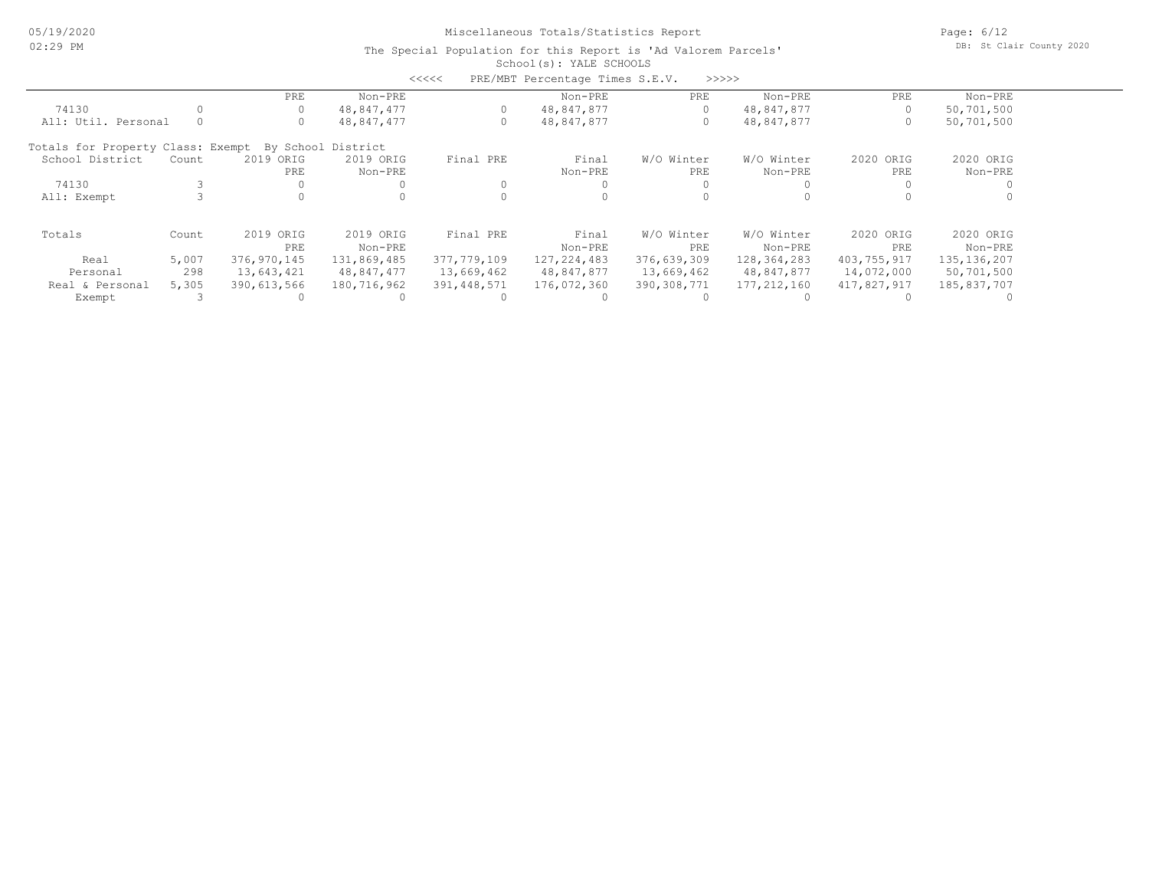Page: 6/12 DB: St Clair County 2020

|                                                      |       |             |             | <<<<        | PRE/MBT Percentage Times S.E.V. |             | >>>>>       |             |               |  |
|------------------------------------------------------|-------|-------------|-------------|-------------|---------------------------------|-------------|-------------|-------------|---------------|--|
|                                                      |       | PRE         | Non-PRE     |             | Non-PRE                         | PRE         | Non-PRE     | PRE         | Non-PRE       |  |
| 74130                                                |       |             | 48,847,477  |             | 48,847,877                      | 0           | 48,847,877  | 0           | 50,701,500    |  |
| All: Util. Personal                                  |       |             | 48,847,477  |             | 48,847,877                      | 0           | 48,847,877  | 0           | 50,701,500    |  |
| Totals for Property Class: Exempt By School District |       |             |             |             |                                 |             |             |             |               |  |
| School District                                      | Count | 2019 ORIG   | 2019 ORIG   | Final PRE   | Final                           | W/O Winter  | W/O Winter  | 2020 ORIG   | 2020 ORIG     |  |
|                                                      |       | PRE         | Non-PRE     |             | Non-PRE                         | PRE         | Non-PRE     | PRE         | Non-PRE       |  |
| 74130                                                |       |             |             |             |                                 |             |             |             |               |  |
| All: Exempt                                          |       |             |             |             | 0                               |             |             |             |               |  |
| Totals                                               | Count | 2019 ORIG   | 2019 ORIG   | Final PRE   | Final                           | W/O Winter  | W/O Winter  | 2020 ORIG   | 2020 ORIG     |  |
|                                                      |       | PRE         | Non-PRE     |             | Non-PRE                         | PRE         | Non-PRE     | PRE         | Non-PRE       |  |
| Real                                                 | 5,007 | 376,970,145 | 131,869,485 | 377,779,109 | 127, 224, 483                   | 376,639,309 | 128,364,283 | 403,755,917 | 135, 136, 207 |  |
| Personal                                             | 298   | 13,643,421  | 48,847,477  | 13,669,462  | 48,847,877                      | 13,669,462  | 48,847,877  | 14,072,000  | 50,701,500    |  |
| Real & Personal                                      | 5,305 | 390,613,566 | 180,716,962 | 391,448,571 | 176,072,360                     | 390,308,771 | 177,212,160 | 417,827,917 | 185,837,707   |  |
| Exempt                                               |       |             |             |             |                                 |             |             |             |               |  |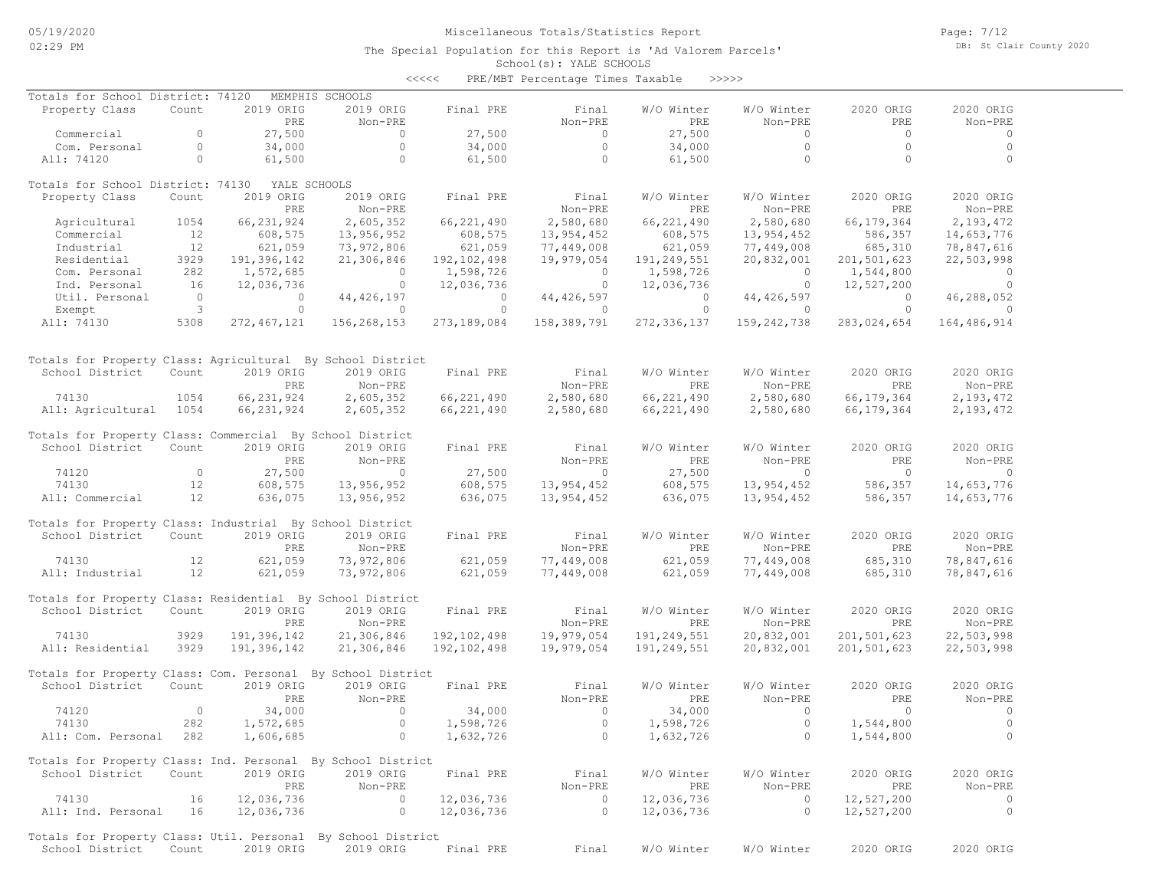Page: 7/12 DB: St Clair County 2020

| <<<< |  | PRE/MBT Percentage Times Taxable |  |  | >>>>>> |  |  |  |  |  |
|------|--|----------------------------------|--|--|--------|--|--|--|--|--|

| Totals for School District: 74120                            |                |               | MEMPHIS SCHOOLS |               |              |              |              |             |              |
|--------------------------------------------------------------|----------------|---------------|-----------------|---------------|--------------|--------------|--------------|-------------|--------------|
| Property Class                                               | Count          | 2019 ORIG     | 2019 ORIG       | Final PRE     | Final        | W/O Winter   | W/O Winter   | 2020 ORIG   | 2020 ORIG    |
|                                                              |                | PRE           | Non-PRE         |               | Non-PRE      | PRE          | Non-PRE      | PRE         | Non-PRE      |
| Commercial                                                   | $\circ$        | 27,500        | $\circ$         | 27,500        | $\circ$      | 27,500       | $\circ$      | $\circ$     | $\circ$      |
| Com. Personal                                                | $\circ$        | 34,000        | $\circ$         | 34,000        | $\circ$      | 34,000       | $\circ$      | $\Omega$    | $\circ$      |
| All: 74120                                                   | $\circ$        | 61,500        | $\circ$         | 61,500        | $\circ$      | 61,500       | $\circ$      | $\circ$     | $\circ$      |
| Totals for School District: 74130                            |                | YALE SCHOOLS  |                 |               |              |              |              |             |              |
| Property Class                                               | Count          | 2019 ORIG     | 2019 ORIG       | Final PRE     | Final        | W/O Winter   | W/O Winter   | 2020 ORIG   | 2020 ORIG    |
|                                                              |                | PRE           | Non-PRE         |               | Non-PRE      | <b>PRE</b>   | Non-PRE      | PRE         | Non-PRE      |
| Agricultural                                                 | 1054           | 66, 231, 924  | 2,605,352       | 66, 221, 490  | 2,580,680    | 66, 221, 490 | 2,580,680    | 66,179,364  | 2,193,472    |
| Commercial                                                   | 12             | 608,575       | 13,956,952      | 608,575       | 13,954,452   | 608,575      | 13,954,452   | 586,357     | 14,653,776   |
| Industrial                                                   | 12             | 621,059       | 73,972,806      | 621,059       | 77,449,008   | 621,059      | 77,449,008   | 685,310     | 78,847,616   |
| Residential                                                  | 3929           | 191,396,142   | 21,306,846      | 192, 102, 498 | 19,979,054   | 191,249,551  | 20,832,001   | 201,501,623 | 22,503,998   |
| Com. Personal                                                | 282            | 1,572,685     | $\Omega$        | 1,598,726     | $\circ$      | 1,598,726    | $\Omega$     | 1,544,800   | $\circ$      |
| Ind. Personal                                                | 16             | 12,036,736    | $\circ$         | 12,036,736    | $\circ$      | 12,036,736   | $\circ$      | 12,527,200  | $\mathbf{0}$ |
| Util. Personal                                               | $\overline{0}$ | $\circ$       | 44, 426, 197    | $\circ$       | 44, 426, 597 | $\circ$      | 44, 426, 597 | $\circ$     | 46,288,052   |
| Exempt                                                       | $\mathbf{3}$   | $\Omega$      | $\circ$         | $\circ$       | $\circ$      | $\circ$      | $\Omega$     | $\Omega$    | $\Omega$     |
| All: 74130                                                   | 5308           | 272, 467, 121 | 156,268,153     | 273,189,084   | 158,389,791  | 272,336,137  | 159,242,738  | 283,024,654 | 164,486,914  |
|                                                              |                |               |                 |               |              |              |              |             |              |
| Totals for Property Class: Agricultural By School District   |                |               |                 |               |              |              |              |             |              |
| School District                                              | Count          | 2019 ORIG     | 2019 ORIG       | Final PRE     | Final        | W/O Winter   | W/O Winter   | 2020 ORIG   | 2020 ORIG    |
|                                                              |                | PRE           | Non-PRE         |               | Non-PRE      | <b>PRE</b>   | Non-PRE      | PRE         | Non-PRE      |
| 74130                                                        | 1054           | 66, 231, 924  | 2,605,352       | 66,221,490    | 2,580,680    | 66,221,490   | 2,580,680    | 66,179,364  | 2,193,472    |
| All: Agricultural                                            | 1054           | 66,231,924    | 2,605,352       | 66,221,490    | 2,580,680    | 66,221,490   | 2,580,680    | 66,179,364  | 2, 193, 472  |
| Totals for Property Class: Commercial By School District     |                |               |                 |               |              |              |              |             |              |
| School District                                              | Count          | 2019 ORIG     | 2019 ORIG       | Final PRE     | Final        | W/O Winter   | W/O Winter   | 2020 ORIG   | 2020 ORIG    |
|                                                              |                | PRE           | Non-PRE         |               | Non-PRE      | PRE          | Non-PRE      | PRE         | Non-PRE      |
| 74120                                                        | $\circ$        | 27,500        | $\circ$         | 27,500        | $\circ$      | 27,500       | $\circ$      | $\circ$     | $\circ$      |
| 74130                                                        | 12             | 608,575       | 13,956,952      | 608,575       | 13,954,452   | 608,575      | 13,954,452   | 586,357     | 14,653,776   |
| All: Commercial                                              | 12             | 636,075       | 13,956,952      | 636,075       | 13,954,452   | 636,075      | 13,954,452   | 586,357     | 14,653,776   |
| Totals for Property Class: Industrial By School District     |                |               |                 |               |              |              |              |             |              |
| School District                                              | Count          | 2019 ORIG     | 2019 ORIG       | Final PRE     | Final        | W/O Winter   | W/O Winter   | 2020 ORIG   | 2020 ORIG    |
|                                                              |                | PRE           | Non-PRE         |               | Non-PRE      | PRE          | Non-PRE      | PRE         | Non-PRE      |
| 74130                                                        | 12             | 621,059       | 73,972,806      | 621,059       | 77,449,008   | 621,059      | 77,449,008   | 685,310     | 78,847,616   |
| All: Industrial                                              | 12             | 621,059       | 73,972,806      | 621,059       | 77,449,008   | 621,059      | 77,449,008   | 685,310     | 78,847,616   |
| Totals for Property Class: Residential By School District    |                |               |                 |               |              |              |              |             |              |
| School District                                              | Count          | 2019 ORIG     | 2019 ORIG       | Final PRE     | Final        | W/O Winter   | W/O Winter   | 2020 ORIG   | 2020 ORIG    |
|                                                              |                | PRE           | Non-PRE         |               | Non-PRE      | <b>PRE</b>   | Non-PRE      | PRE         | Non-PRE      |
| 74130                                                        | 3929           | 191,396,142   | 21,306,846      | 192, 102, 498 | 19,979,054   | 191,249,551  | 20,832,001   | 201,501,623 | 22,503,998   |
| All: Residential                                             | 3929           | 191,396,142   | 21,306,846      | 192, 102, 498 | 19,979,054   | 191,249,551  | 20,832,001   | 201,501,623 | 22,503,998   |
| Totals for Property Class: Com. Personal By School District  |                |               |                 |               |              |              |              |             |              |
| School District                                              | Count          | 2019 ORIG     | 2019 ORIG       | Final PRE     | Final        | W/O Winter   | W/O Winter   | 2020 ORIG   | 2020 ORIG    |
|                                                              |                | PRE           | Non-PRE         |               | Non-PRE      | PRE          | Non-PRE      | PRE         | Non-PRE      |
| 74120                                                        | $\circ$        | 34,000        | $\circ$         | 34,000        | $\circ$      | 34,000       | $\circ$      | $\Omega$    | $\circ$      |
| 74130                                                        | 282            | 1,572,685     | $\circ$         | 1,598,726     | $\circ$      | 1,598,726    | $\circ$      | 1,544,800   | $\circ$      |
| All: Com. Personal                                           | 282            | 1,606,685     | $\Omega$        | 1,632,726     | $\Omega$     | 1,632,726    | $\Omega$     | 1,544,800   | $\Omega$     |
| Totals for Property Class: Ind. Personal By School District  |                |               |                 |               |              |              |              |             |              |
| School District                                              | Count          | 2019 ORIG     | 2019 ORIG       | Final PRE     | Final        | W/O Winter   | W/O Winter   | 2020 ORIG   | 2020 ORIG    |
|                                                              |                | PRE           | Non-PRE         |               | Non-PRE      | PRE          | Non-PRE      | PRE         | Non-PRE      |
| 74130                                                        | 16             | 12,036,736    | $\circ$         | 12,036,736    | $\circ$      | 12,036,736   | $\circ$      | 12,527,200  | $\circ$      |
| All: Ind. Personal                                           | 16             | 12,036,736    | $\circ$         | 12,036,736    | $\circ$      | 12,036,736   | $\circ$      | 12,527,200  | $\circ$      |
| Totals for Property Class: Util. Personal By School District |                |               |                 |               |              |              |              |             |              |
| School District                                              | Count          | 2019 ORIG     | 2019 ORIG       | Final PRE     | Final        | W/O Winter   | W/O Winter   | 2020 ORIG   | 2020 ORIG    |
|                                                              |                |               |                 |               |              |              |              |             |              |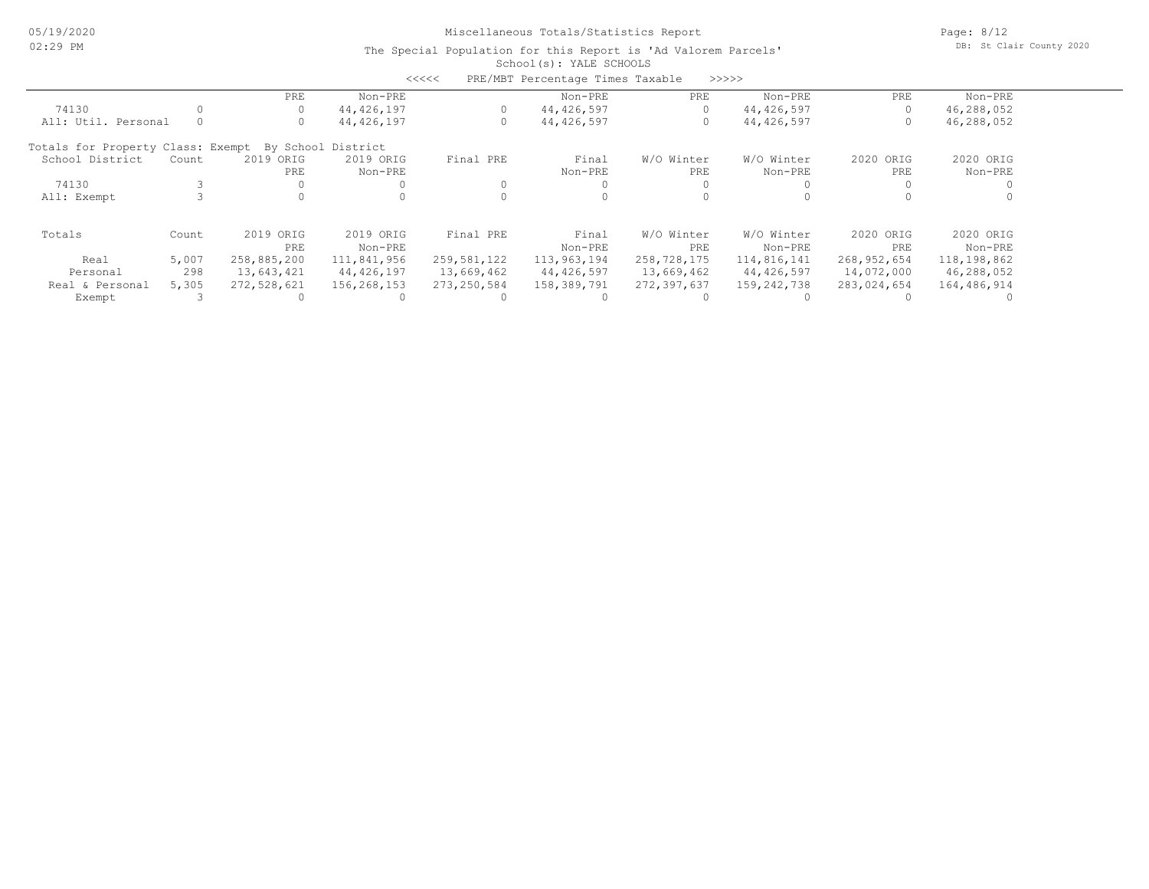Page: 8/12 DB: St Clair County 2020

|                                   |       |             |                    | <<<<          | PRE/MBT Percentage Times Taxable |             | >>>>>       |             |             |  |
|-----------------------------------|-------|-------------|--------------------|---------------|----------------------------------|-------------|-------------|-------------|-------------|--|
|                                   |       | PRE         | Non-PRE            |               | Non-PRE                          | PRE         | Non-PRE     | PRE         | Non-PRE     |  |
| 74130                             |       | 0           | 44,426,197         |               | 44,426,597                       | 0           | 44,426,597  | $\Omega$    | 46,288,052  |  |
| All: Util. Personal               |       | 0           | 44,426,197         |               | 44,426,597                       | 0           | 44,426,597  | 0           | 46,288,052  |  |
| Totals for Property Class: Exempt |       |             | By School District |               |                                  |             |             |             |             |  |
| School District                   | Count | 2019 ORIG   | 2019 ORIG          | Final PRE     | Final                            | W/O Winter  | W/O Winter  | 2020 ORIG   | 2020 ORIG   |  |
|                                   |       | PRE         | Non-PRE            |               | Non-PRE                          | PRE         | Non-PRE     | PRE         | Non-PRE     |  |
| 74130                             |       |             |                    |               |                                  |             |             |             |             |  |
| All: Exempt                       |       |             |                    |               |                                  |             |             |             |             |  |
| Totals                            | Count | 2019 ORIG   | 2019 ORIG          | Final PRE     | Final                            | W/O Winter  | W/O Winter  | 2020 ORIG   | 2020 ORIG   |  |
|                                   |       | PRE         | Non-PRE            |               | Non-PRE                          | PRE         | Non-PRE     | PRE         | Non-PRE     |  |
| Real                              | 5,007 | 258,885,200 | 111,841,956        | 259,581,122   | 113,963,194                      | 258,728,175 | 114,816,141 | 268,952,654 | 118,198,862 |  |
| Personal                          | 298   | 13,643,421  | 44,426,197         | 13,669,462    | 44,426,597                       | 13,669,462  | 44,426,597  | 14,072,000  | 46,288,052  |  |
| Real & Personal                   | 5,305 | 272,528,621 | 156,268,153        | 273, 250, 584 | 158,389,791                      | 272,397,637 | 159,242,738 | 283,024,654 | 164,486,914 |  |
| Exempt                            |       |             |                    |               |                                  |             |             |             |             |  |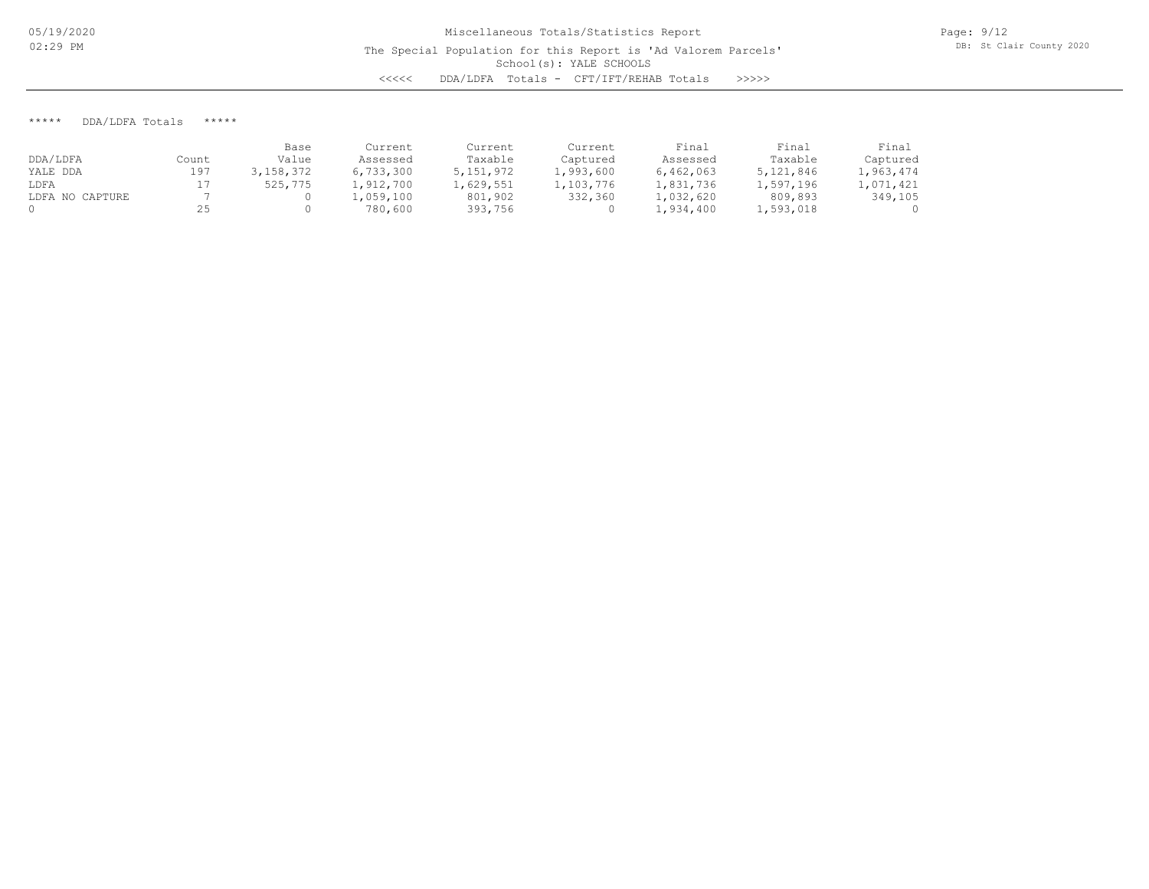## \*\*\*\*\* DDA/LDFA Totals \*\*\*\*\*

|                 |       | Base      | Current   | Current   | Current   | Final     | Final     | Final     |
|-----------------|-------|-----------|-----------|-----------|-----------|-----------|-----------|-----------|
| DDA/LDFA        | Count | Value     | Assessed  | Taxable   | Captured  | Assessed  | Taxable   | Captured  |
| YALE DDA        | 197   | 3,158,372 | 6,733,300 | 5,151,972 | 1,993,600 | 6,462,063 | 5,121,846 | 1,963,474 |
| LDFA            |       | 525,775   | l,912,700 | 1,629,551 | 1,103,776 | 1,831,736 | 1,597,196 | 1,071,421 |
| LDFA NO CAPTURE |       |           | l,059,100 | 801,902   | 332,360   | 1,032,620 | 809,893   | 349,105   |
|                 |       |           | 780,600   | 393,756   |           | 1,934,400 | 1,593,018 |           |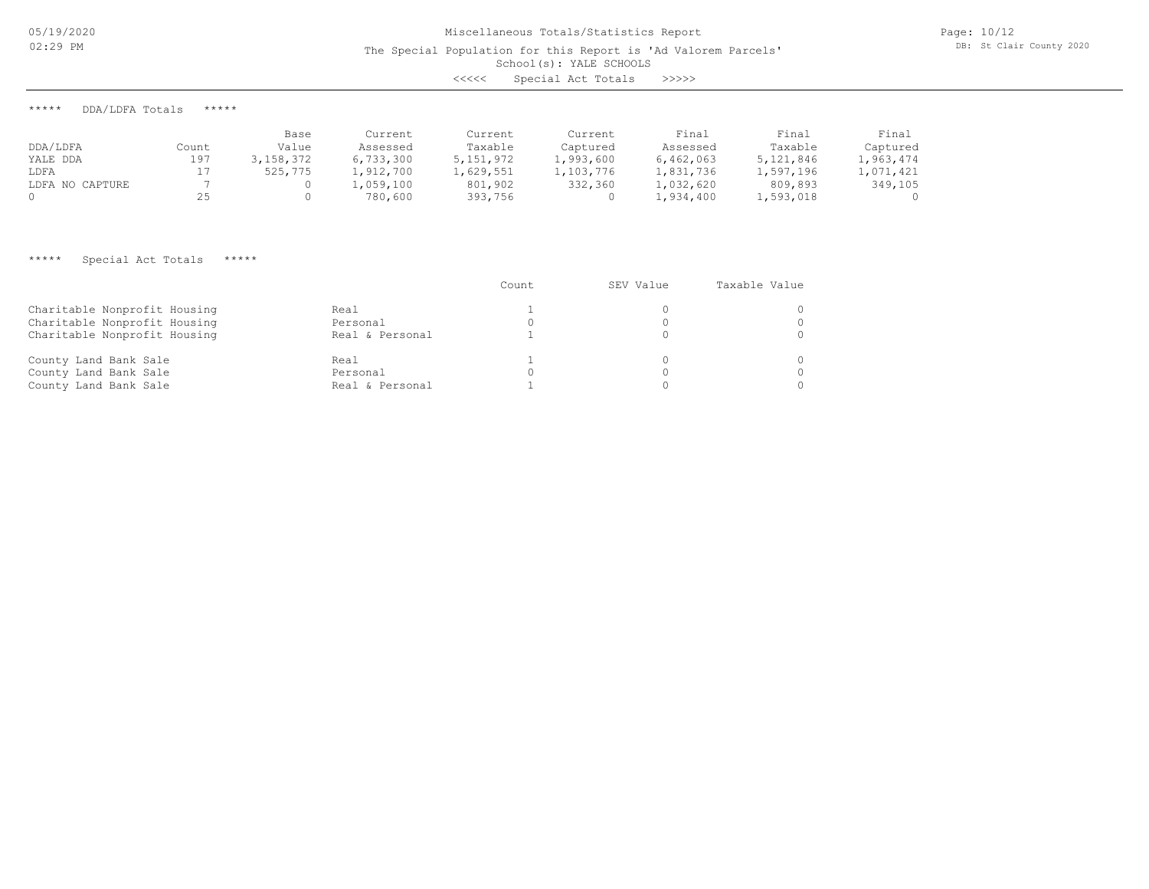05/19/2020 02:29 PM

The Special Population for this Report is 'Ad Valorem Parcels'

School(s): YALE SCHOOLS

<<<<< Special Act Totals >>>>>

\*\*\*\*\* DDA/LDFA Totals \*\*\*\*\*

|                 |       | Base      | Current   | Current     | Current   | Final     | Final     | Final     |
|-----------------|-------|-----------|-----------|-------------|-----------|-----------|-----------|-----------|
| DDA/LDFA        | Count | Value     | Assessed  | Taxable     | Captured  | Assessed  | Taxable   | Captured  |
| YALE DDA        | 197   | 3,158,372 | 6,733,300 | 5, 151, 972 | 1,993,600 | 6,462,063 | 5,121,846 | 1,963,474 |
| LDFA            |       | 525,775   | 1,912,700 | 1,629,551   | 1,103,776 | 1,831,736 | 1,597,196 | 1,071,421 |
| LDFA NO CAPTURE |       |           | ,059,100  | 801,902     | 332,360   | 1,032,620 | 809,893   | 349,105   |
|                 |       |           | 780,600   | 393,756     |           | 1,934,400 | 1,593,018 |           |

# \*\*\*\*\* Special Act Totals \*\*\*\*\*

|                              |                 | Count | SEV Value | Taxable Value |
|------------------------------|-----------------|-------|-----------|---------------|
| Charitable Nonprofit Housing | Real            |       |           |               |
| Charitable Nonprofit Housing | Personal        |       |           |               |
| Charitable Nonprofit Housing | Real & Personal |       |           |               |
| County Land Bank Sale        | Real            |       |           |               |
| County Land Bank Sale        | Personal        |       |           |               |
| County Land Bank Sale        | Real & Personal |       |           |               |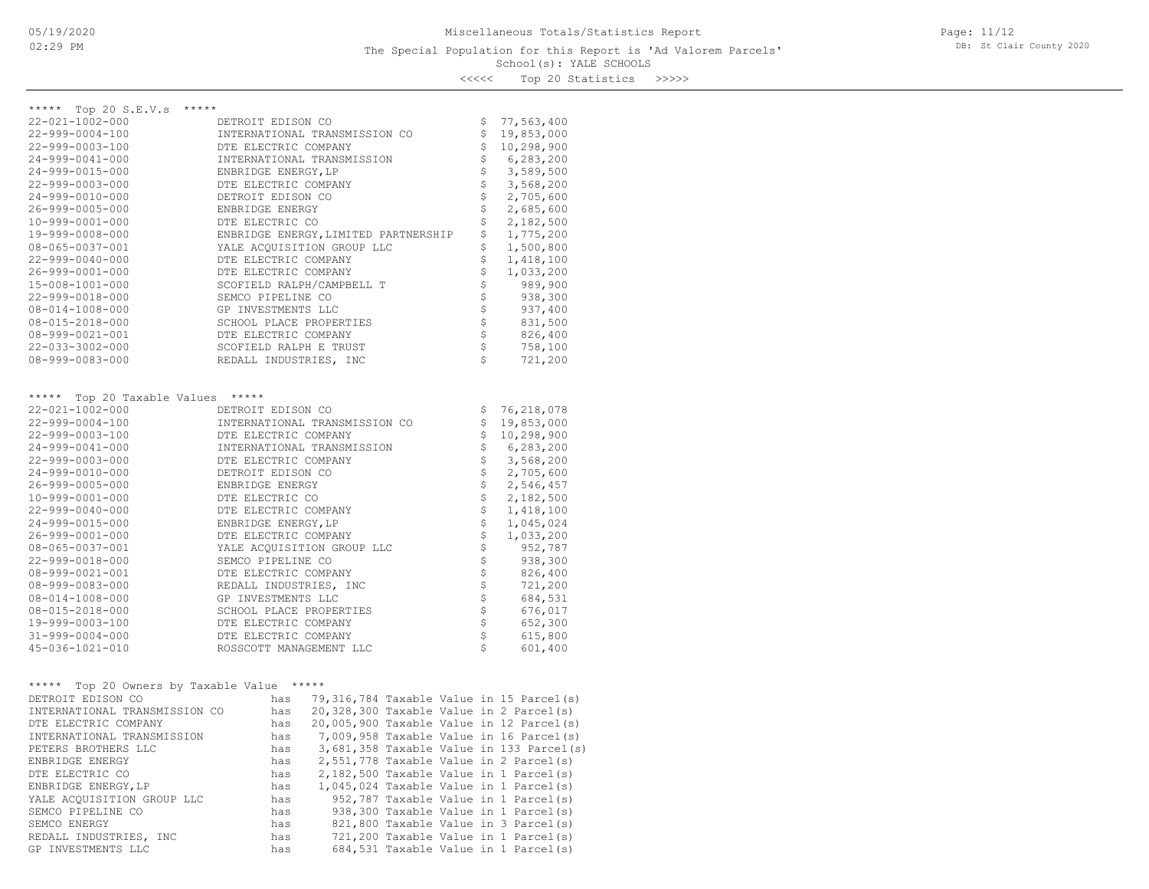# School(s): YALE SCHOOLS The Special Population for this Report is 'Ad Valorem Parcels'

Page: 11/12 DB: St Clair County 2020

<<<<< Top 20 Statistics >>>>>

| ***** Top 20 S.E.V.s *****<br>22-021-1002-000 |                                                                                                                                                                                                                                       |                            |                          |
|-----------------------------------------------|---------------------------------------------------------------------------------------------------------------------------------------------------------------------------------------------------------------------------------------|----------------------------|--------------------------|
| 22-999-0004-100                               | DETROIT EDISON CO<br>INTERNATIONAL TRANSMISSION CO                                                                                                                                                                                    | \$<br>\$                   | 77,563,400<br>19,853,000 |
| 22-999-0003-100                               | DTE ELECTRIC COMPANY                                                                                                                                                                                                                  | $\frac{1}{2}$              | 10,298,900               |
| 24-999-0041-000                               | INTERNATIONAL TRANSMISSION                                                                                                                                                                                                            | $\dot{\varsigma}$          | 6,283,200                |
| 24-999-0015-000                               | ENBRIDGE ENERGY, LP                                                                                                                                                                                                                   |                            | 3,589,500                |
| 22-999-0003-000                               | DTE ELECTRIC COMPANY                                                                                                                                                                                                                  | $\frac{1}{2}$              | 3,568,200                |
| 24-999-0010-000                               | DETROIT EDISON CO                                                                                                                                                                                                                     | \$                         | 2,705,600                |
| 26-999-0005-000                               | ENBRIDGE ENERGY                                                                                                                                                                                                                       | $\dot{\varsigma}$          | 2,685,600                |
| $10 - 999 - 0001 - 000$                       | DTE ELECTRIC CO                                                                                                                                                                                                                       | $\dot{\varsigma}$          | 2,182,500                |
| 19-999-0008-000                               | ENBRIDGE ENERGY, LIMITED PARTNERSHIP                                                                                                                                                                                                  | $\dot{\varsigma}$          | 1,775,200                |
| $08 - 065 - 0037 - 001$                       | YALE ACQUISITION GROUP LLC                                                                                                                                                                                                            | \$                         | 1,500,800                |
| 22-999-0040-000                               | DTE ELECTRIC COMPANY                                                                                                                                                                                                                  | $\dot{\varsigma}$          | 1,418,100                |
| 26-999-0001-000                               | DTE ELECTRIC COMPANY                                                                                                                                                                                                                  | $\dot{\varsigma}$          | 1,033,200                |
| 15-008-1001-000                               | SCOFIELD RALPH/CAMPBELL T                                                                                                                                                                                                             | $\dot{\varsigma}$          | 989,900                  |
| 22-999-0018-000                               | SEMCO PIPELINE CO                                                                                                                                                                                                                     | \$                         | 938,300                  |
| $08 - 014 - 1008 - 000$                       | GP INVESTMENTS LLC                                                                                                                                                                                                                    | $\boldsymbol{\mathsf{S}}$  | 937,400                  |
| 08-015-2018-000                               | SCHOOL PLACE PROPERTIES                                                                                                                                                                                                               | $\ddot{\varsigma}$         | 831,500                  |
| 08-999-0021-001                               | DTE ELECTRIC COMPANY                                                                                                                                                                                                                  | $\frac{1}{2}$              | 826,400                  |
| 22-033-3002-000                               | SCOFIELD RALPH E TRUST                                                                                                                                                                                                                | $\frac{1}{2}$              | 758,100                  |
| 08-999-0083-000                               | REDALL INDUSTRIES, INC                                                                                                                                                                                                                | $\mathsf{S}$               | 721,200                  |
|                                               |                                                                                                                                                                                                                                       |                            |                          |
|                                               |                                                                                                                                                                                                                                       |                            |                          |
| ***** Top 20 Taxable Values *****             |                                                                                                                                                                                                                                       |                            |                          |
| 22-021-1002-000                               | DETROIT EDISON CO                                                                                                                                                                                                                     | \$                         | 76,218,078               |
| 22-999-0004-100                               | INTERNATIONAL TRANSMISSION CO                                                                                                                                                                                                         | $\boldsymbol{\mathsf{S}}$  | 19,853,000               |
| 22-999-0003-100                               | DTE ELECTRIC COMPANY                                                                                                                                                                                                                  | $\boldsymbol{\mathsf{S}}$  | 10,298,900               |
| 24-999-0041-000                               | INTERNATIONAL TRANSMISSION                                                                                                                                                                                                            | $\dot{\varsigma}$          | 6,283,200                |
| 22-999-0003-000                               | DTE ELECTRIC COMPANY                                                                                                                                                                                                                  | $\frac{1}{2}$              | 3,568,200                |
| 24-999-0010-000                               | DETROIT EDISON CO                                                                                                                                                                                                                     |                            | 2,705,600                |
| 26-999-0005-000                               | ENBRIDGE ENERGY                                                                                                                                                                                                                       | $\dot{\varsigma}$          | 2,546,457                |
| 10-999-0001-000                               | DTE ELECTRIC CO                                                                                                                                                                                                                       | $\boldsymbol{\mathsf{S}}$  | 2,182,500                |
| 22-999-0040-000                               | DTE ELECTRIC COMPANY                                                                                                                                                                                                                  | $\dot{\tilde{\varsigma}}$  | 1,418,100                |
| 24-999-0015-000                               | ENBRIDGE ENERGY, LP                                                                                                                                                                                                                   | $\frac{1}{5}$              | 1,045,024                |
| 26-999-0001-000                               | DTE ELECTRIC COMPANY                                                                                                                                                                                                                  | $\stackrel{.}{\mathsf{S}}$ | 1,033,200                |
| 08-065-0037-001                               | YALE ACQUISITION GROUP LLC                                                                                                                                                                                                            | $\dot{\mathsf{S}}$         | 952,787                  |
| 22-999-0018-000                               | SEMCO PIPELINE CO                                                                                                                                                                                                                     | $\boldsymbol{\mathsf{S}}$  | 938,300                  |
| 08-999-0021-001                               | DTE ELECTRIC COMPANY                                                                                                                                                                                                                  | $\ddot{\varsigma}$         | 826,400                  |
| $08 - 999 - 0083 - 000$                       | REDALL INDUSTRIES, INC                                                                                                                                                                                                                | $\frac{1}{2}$              | 721,200                  |
| 08-014-1008-000                               | GP INVESTMENTS LLC                                                                                                                                                                                                                    |                            | 684,531                  |
| 08-015-2018-000                               | SCHOOL PLACE PROPERTIES                                                                                                                                                                                                               | $\ddot{\varsigma}$         | 676,017                  |
| 19-999-0003-100                               | DTE ELECTRIC COMPANY                                                                                                                                                                                                                  | $\boldsymbol{\mathsf{S}}$  | 652,300                  |
| $31 - 999 - 0004 - 000$                       | DTE ELECTRIC COMPANY                                                                                                                                                                                                                  | $\ddot{\varsigma}$         | 615,800                  |
| 45-036-1021-010                               | ROSSCOTT MANAGEMENT LLC                                                                                                                                                                                                               | $\mathsf{S}$               | 601,400                  |
|                                               |                                                                                                                                                                                                                                       |                            |                          |
| ***** Top 20 Owners by Taxable Value *****    |                                                                                                                                                                                                                                       |                            |                          |
| DETROIT EDISON CO                             | has 79,316,784 Taxable Value in 15 Parcel(s)                                                                                                                                                                                          |                            |                          |
| INTERNATIONAL TRANSMISSION CO                 | has 20,328,300 Taxable Value in 2 Parcel(s)                                                                                                                                                                                           |                            |                          |
| DTE ELECTRIC COMPANY                          | has 20,005,900 Taxable Value in 12 Parcel(s)                                                                                                                                                                                          |                            |                          |
| INTERNATIONAL TRANSMISSION                    |                                                                                                                                                                                                                                       |                            |                          |
| PETERS BROTHERS LLC                           | 3,681,358 Taxable Value in 133 Parcel(s)                                                                                                                                                                                              |                            |                          |
| ENBRIDGE ENERGY                               |                                                                                                                                                                                                                                       |                            |                          |
| DTE ELECTRIC CO                               | has 7,009,958 Taxable Value in 16 Parcel(s)<br>has 3,681,358 Taxable Value in 133 Parcel(s)<br>has 2,551,778 Taxable Value in 2 Parcel(s)<br>has 2,182,500 Taxable Value in 1 Parcel(s)<br>has 1,045,024 Taxable Value in 1 Parcel(s) |                            |                          |
| ENBRIDGE ENERGY, LP                           |                                                                                                                                                                                                                                       |                            |                          |
| YALE ACQUISITION GROUP LLC                    | has<br>952,787 Taxable Value in 1 Parcel(s)                                                                                                                                                                                           |                            |                          |

GP INVESTMENTS LLC has 684,531 Taxable Value in 1 Parcel(s) REDALL INDUSTRIES, INC has 721,200 Taxable Value in 1 Parcel(s) SEMCO ENERGY has 821,800 Taxable Value in 3 Parcel(s) SEMCO PIPELINE CO has 938,300 Taxable Value in 1 Parcel(s)